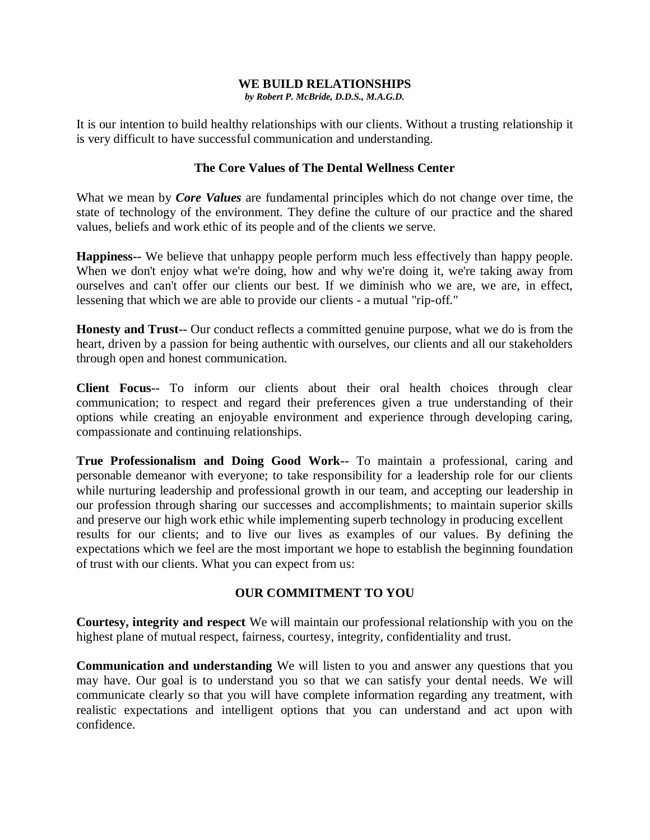## **WE BUILD RELATIONSHIPS**

*by Robert P. McBride, D.D.S., M.A.G.D.*

It is our intention to build healthy relationships with our clients. Without a trusting relationship it is very difficult to have successful communication and understanding.

## **The Core Values of The Dental Wellness Center**

What we mean by *Core Values* are fundamental principles which do not change over time, the state of technology of the environment. They define the culture of our practice and the shared values, beliefs and work ethic of its people and of the clients we serve.

**Happiness--** We believe that unhappy people perform much less effectively than happy people. When we don't enjoy what we're doing, how and why we're doing it, we're taking away from ourselves and can't offer our clients our best. If we diminish who we are, we are, in effect, lessening that which we are able to provide our clients - a mutual "rip-off."

**Honesty and Trust--** Our conduct reflects a committed genuine purpose, what we do is from the heart, driven by a passion for being authentic with ourselves, our clients and all our stakeholders through open and honest communication.

**Client Focus--** To inform our clients about their oral health choices through clear communication; to respect and regard their preferences given a true understanding of their options while creating an enjoyable environment and experience through developing caring, compassionate and continuing relationships.

**True Professionalism and Doing Good Work--** To maintain a professional, caring and personable demeanor with everyone; to take responsibility for a leadership role for our clients while nurturing leadership and professional growth in our team, and accepting our leadership in our profession through sharing our successes and accomplishments; to maintain superior skills and preserve our high work ethic while implementing superb technology in producing excellent results for our clients; and to live our lives as examples of our values. By defining the expectations which we feel are the most important we hope to establish the beginning foundation of trust with our clients. What you can expect from us:

## **OUR COMMITMENT TO YOU**

**Courtesy, integrity and respect** We will maintain our professional relationship with you on the highest plane of mutual respect, fairness, courtesy, integrity, confidentiality and trust.

**Communication and understanding** We will listen to you and answer any questions that you may have. Our goal is to understand you so that we can satisfy your dental needs. We will communicate clearly so that you will have complete information regarding any treatment, with realistic expectations and intelligent options that you can understand and act upon with confidence.